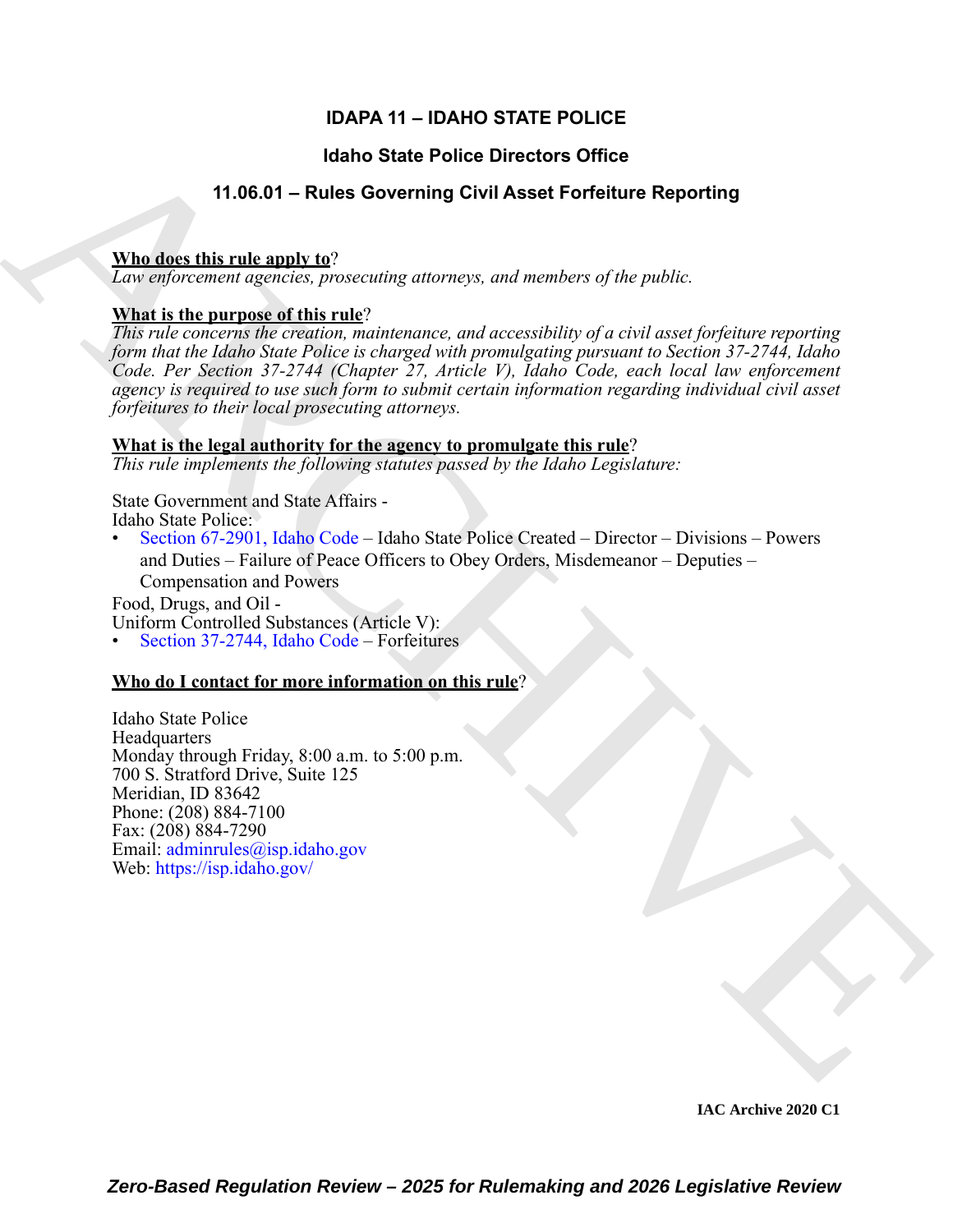### **IDAPA 11 – IDAHO STATE POLICE**

#### **Idaho State Police Directors Office**

### **11.06.01 – Rules Governing Civil Asset Forfeiture Reporting**

#### **Who does this rule apply to**?

*Law enforcement agencies, prosecuting attorneys, and members of the public.*

#### **What is the purpose of this rule**?

**Halo State Police Directors Office**<br>
11.08.01 – Rules Governing Givil Asset Forfeiture Reporting<br>
The describering operator processing atomses, and number of durable<br> *Let angle the introduce of the interminal distance a This rule concerns the creation, maintenance, and accessibility of a civil asset forfeiture reporting form that the Idaho State Police is charged with promulgating pursuant to Section 37-2744, Idaho Code. Per Section 37-2744 (Chapter 27, Article V), Idaho Code, each local law enforcement agency is required to use such form to submit certain information regarding individual civil asset forfeitures to their local prosecuting attorneys.*

#### **What is the legal authority for the agency to promulgate this rule**?

*This rule implements the following statutes passed by the Idaho Legislature:*

State Government and State Affairs - Idaho State Police:

• Section 67-2901, Idaho Code – Idaho State Police Created – Director – Divisions – Powers and Duties – Failure of Peace Officers to Obey Orders, Misdemeanor – Deputies – Compensation and Powers

Food, Drugs, and Oil - Uniform Controlled Substances (Article V):

• Section 37-2744, Idaho Code – Forfeitures

#### **Who do I contact for more information on this rule**?

Idaho State Police **Headquarters** Monday through Friday, 8:00 a.m. to 5:00 p.m. 700 S. Stratford Drive, Suite 125 Meridian, ID 83642 Phone: (208) 884-7100 Fax: (208) 884-7290 Email: adminrules@isp.idaho.gov Web: https://isp.idaho.gov/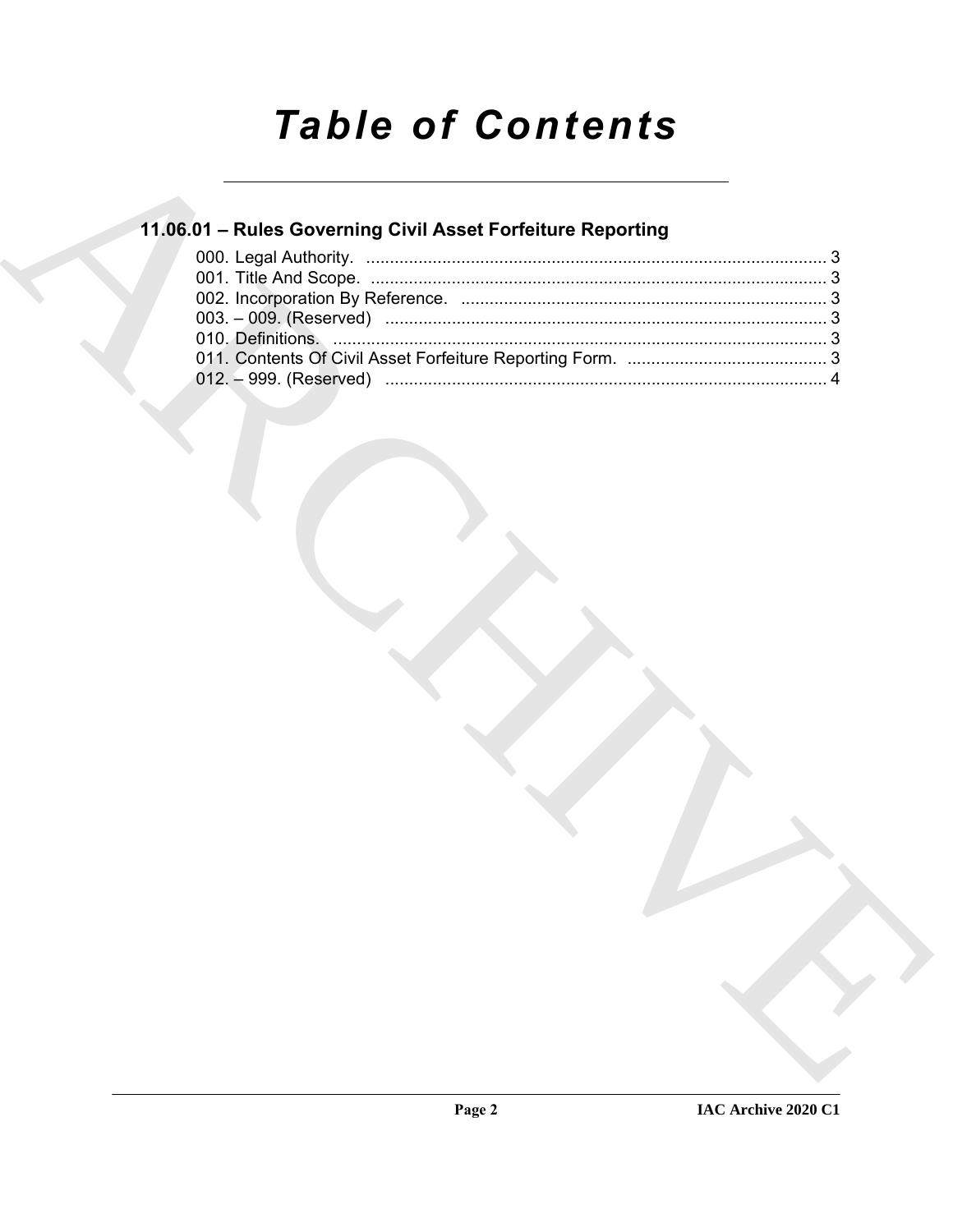# **Table of Contents**

## 11.06.01 - Rules Governing Civil Asset Forfeiture Reporting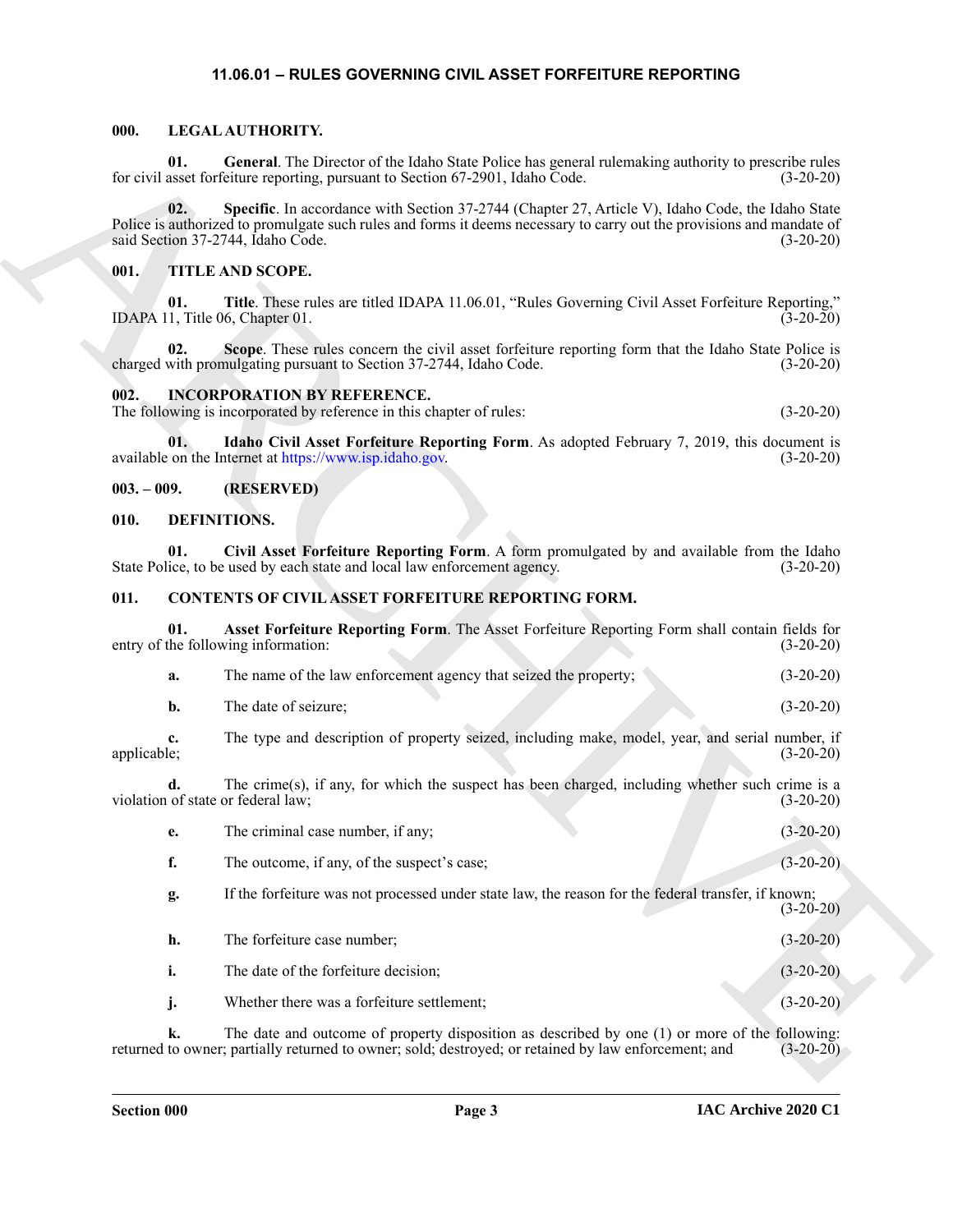#### <span id="page-2-15"></span><span id="page-2-14"></span>**11.06.01 – RULES GOVERNING CIVIL ASSET FORFEITURE REPORTING**

#### <span id="page-2-13"></span><span id="page-2-1"></span><span id="page-2-0"></span>**000. LEGAL AUTHORITY.**

#### <span id="page-2-16"></span><span id="page-2-2"></span>**001. TITLE AND SCOPE.**

#### <span id="page-2-12"></span><span id="page-2-11"></span><span id="page-2-3"></span>**002. INCORPORATION BY REFERENCE.**

#### <span id="page-2-4"></span>**003. – 009. (RESERVED)**

#### <span id="page-2-10"></span><span id="page-2-9"></span><span id="page-2-5"></span>**010. DEFINITIONS.**

#### <span id="page-2-8"></span><span id="page-2-7"></span><span id="page-2-6"></span>**011. CONTENTS OF CIVIL ASSET FORFEITURE REPORTING FORM.**

|  | 01.               | General. The Director of the Idaho State Police has general rulemaking authority to prescribe rules<br>for civil asset forfeiture reporting, pursuant to Section 67-2901, Idaho Code.                                                                           | $(3-20-20)$ |
|--|-------------------|-----------------------------------------------------------------------------------------------------------------------------------------------------------------------------------------------------------------------------------------------------------------|-------------|
|  | 02.               | Specific. In accordance with Section 37-2744 (Chapter 27, Article V), Idaho Code, the Idaho State<br>Police is authorized to promulgate such rules and forms it deems necessary to carry out the provisions and mandate of<br>said Section 37-2744, Idaho Code. | $(3-20-20)$ |
|  | 001.              | <b>TITLE AND SCOPE.</b>                                                                                                                                                                                                                                         |             |
|  | 01.               | Title. These rules are titled IDAPA 11.06.01, "Rules Governing Civil Asset Forfeiture Reporting,"<br>IDAPA 11, Title 06, Chapter 01.                                                                                                                            | $(3-20-20)$ |
|  | 02.               | Scope. These rules concern the civil asset forfeiture reporting form that the Idaho State Police is<br>charged with promulgating pursuant to Section 37-2744, Idaho Code.                                                                                       | $(3-20-20)$ |
|  | 002.              | <b>INCORPORATION BY REFERENCE.</b><br>The following is incorporated by reference in this chapter of rules:                                                                                                                                                      | $(3-20-20)$ |
|  | 01.               | Idaho Civil Asset Forfeiture Reporting Form. As adopted February 7, 2019, this document is<br>available on the Internet at https://www.isp.idaho.gov.                                                                                                           | $(3-20-20)$ |
|  | $003. - 009.$     | (RESERVED)                                                                                                                                                                                                                                                      |             |
|  | 010.              | DEFINITIONS.                                                                                                                                                                                                                                                    |             |
|  | 01.               | Civil Asset Forfeiture Reporting Form. A form promulgated by and available from the Idaho<br>State Police, to be used by each state and local law enforcement agency.                                                                                           | $(3-20-20)$ |
|  | 011.              | CONTENTS OF CIVIL ASSET FORFEITURE REPORTING FORM.                                                                                                                                                                                                              |             |
|  | 01.               | Asset Forfeiture Reporting Form. The Asset Forfeiture Reporting Form shall contain fields for<br>entry of the following information:                                                                                                                            | $(3-20-20)$ |
|  | a.                | The name of the law enforcement agency that seized the property;                                                                                                                                                                                                | $(3-20-20)$ |
|  | b.                | The date of seizure;                                                                                                                                                                                                                                            | $(3-20-20)$ |
|  | c.<br>applicable; | The type and description of property seized, including make, model, year, and serial number, if                                                                                                                                                                 | $(3-20-20)$ |
|  | d.                | The crime(s), if any, for which the suspect has been charged, including whether such crime is a<br>violation of state or federal law;                                                                                                                           | $(3-20-20)$ |
|  | e.                | The criminal case number, if any;                                                                                                                                                                                                                               | $(3-20-20)$ |
|  | f.                | The outcome, if any, of the suspect's case;                                                                                                                                                                                                                     | $(3-20-20)$ |
|  | g.                | If the forfeiture was not processed under state law, the reason for the federal transfer, if known;                                                                                                                                                             | $(3-20-20)$ |
|  | h.                | The forfeiture case number;                                                                                                                                                                                                                                     | $(3-20-20)$ |
|  | i.                | The date of the forfeiture decision;                                                                                                                                                                                                                            | $(3-20-20)$ |
|  | j.                | Whether there was a forfeiture settlement;                                                                                                                                                                                                                      | $(3-20-20)$ |
|  | k.                | The date and outcome of property disposition as described by one (1) or more of the following:<br>returned to owner; partially returned to owner; sold; destroyed; or retained by law enforcement; and                                                          | $(3-20-20)$ |
|  |                   |                                                                                                                                                                                                                                                                 |             |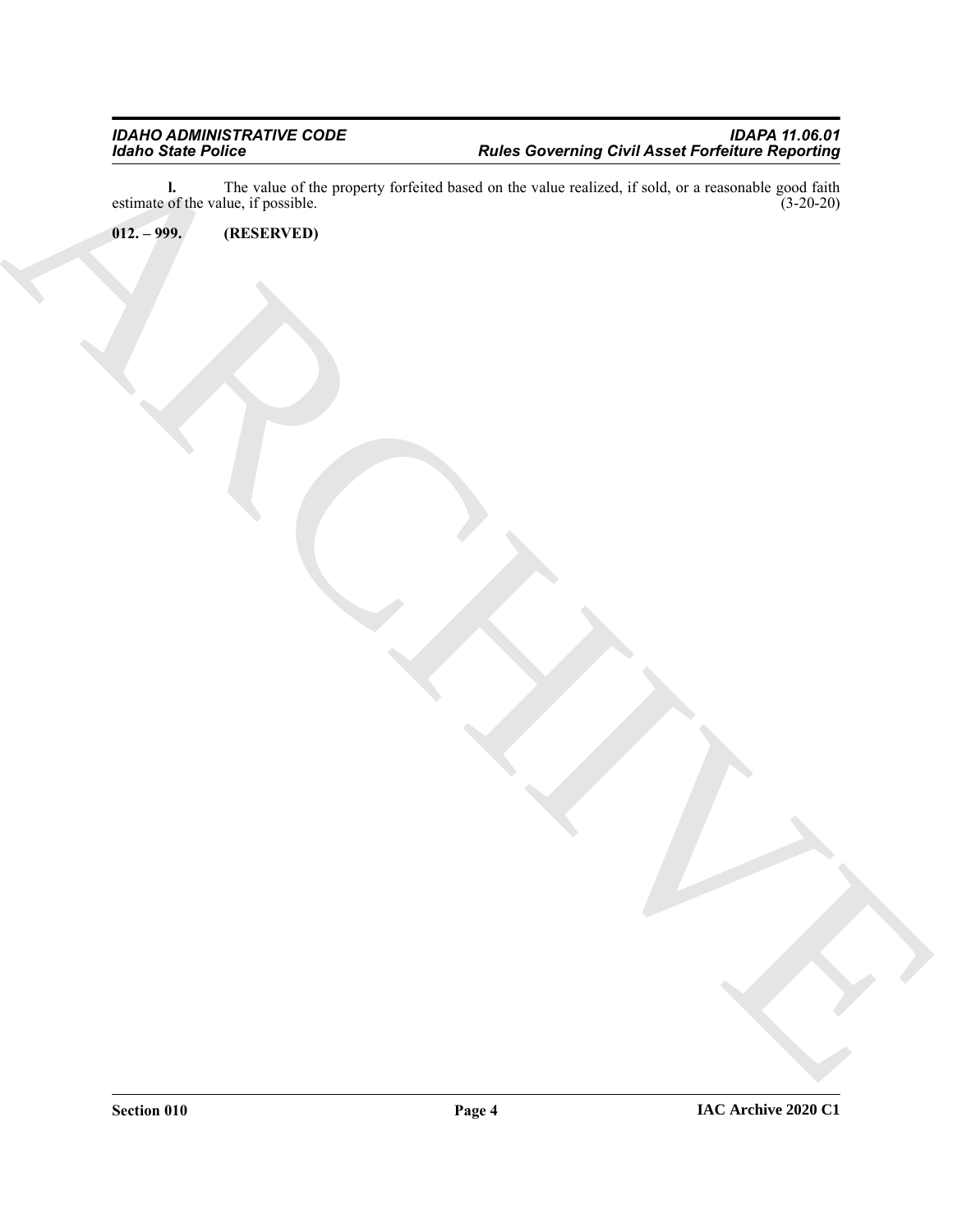Existence Police<br>
ARCHIVES Correlation Contains (and the contact of the contact of the contact of the contact of the contact of the contact of the contact of the contact of the contact of the contact of the contact of the **l.** The value of the property forfeited based on the value realized, if sold, or a reasonable good faith estimate of the value, if possible. (3-20-20)

<span id="page-3-0"></span>**012. – 999. (RESERVED)**